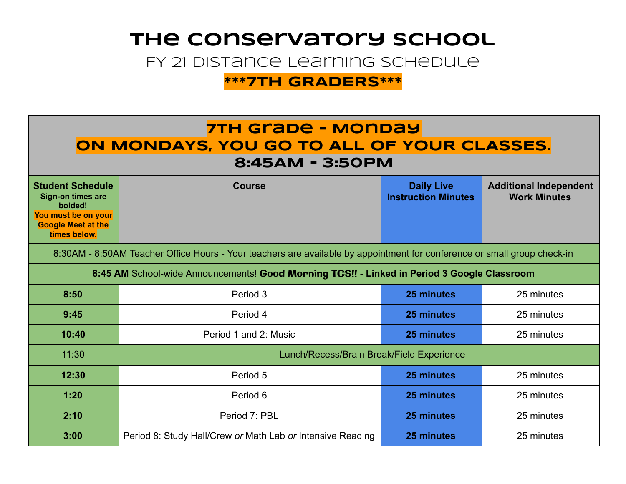## **The Conservatory School**

FY 21 Distance Learning Schedule

**\*\*\*7TH GRADERS\*\*\*** 

### **7TH Grade - Monday oN MONDAYS, YOU GO TO ALL OF YOUR CLASSES. 8:45AM - 3:50PM**

| <b>Student Schedule</b><br><b>Sign-on times are</b><br>bolded!<br>You must be on your<br><b>Google Meet at the</b><br>times below. | <b>Course</b>  | <b>Daily Live</b><br><b>Instruction Minutes</b> | <b>Additional Independent</b><br><b>Work Minutes</b> |  |
|------------------------------------------------------------------------------------------------------------------------------------|----------------|-------------------------------------------------|------------------------------------------------------|--|
| 8:30AM - 8:50AM Teacher Office Hours - Your teachers are available by appointment for conference or small group check-in           |                |                                                 |                                                      |  |
| 8:45 AM School-wide Announcements! Good Morning TCS!! - Linked in Period 3 Google Classroom                                        |                |                                                 |                                                      |  |
| 0.E <sub>0</sub>                                                                                                                   | D <sub>z</sub> | OF paintings                                    | $\Omega$ $\Gamma$ main than                          |  |

| 8:50  | Period 3                                                   | 25 minutes | 25 minutes |
|-------|------------------------------------------------------------|------------|------------|
| 9:45  | Period 4                                                   | 25 minutes | 25 minutes |
| 10:40 | Period 1 and 2: Music                                      | 25 minutes | 25 minutes |
| 11:30 | Lunch/Recess/Brain Break/Field Experience                  |            |            |
| 12:30 | Period 5                                                   | 25 minutes | 25 minutes |
| 1:20  | Period 6                                                   | 25 minutes | 25 minutes |
| 2:10  | Period 7: PBL                                              | 25 minutes | 25 minutes |
| 3:00  | Period 8: Study Hall/Crew or Math Lab or Intensive Reading | 25 minutes | 25 minutes |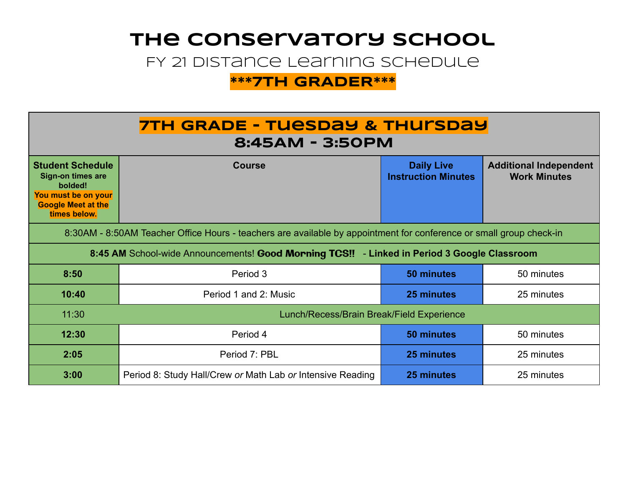# **The Conservatory School**

FY 21 Distance Learning Schedule

### **\*\*\*7TH GRADER\*\*\***

| <b>7TH GRADE - TUESDAY &amp; THUISDAY</b><br>8:45AM - 3:50PM                                                                       |                                                            |                                                 |                                                      |  |  |
|------------------------------------------------------------------------------------------------------------------------------------|------------------------------------------------------------|-------------------------------------------------|------------------------------------------------------|--|--|
| <b>Student Schedule</b><br><b>Sign-on times are</b><br>bolded!<br>You must be on your<br><b>Google Meet at the</b><br>times below. | <b>Course</b>                                              | <b>Daily Live</b><br><b>Instruction Minutes</b> | <b>Additional Independent</b><br><b>Work Minutes</b> |  |  |
| 8:30AM - 8:50AM Teacher Office Hours - teachers are available by appointment for conference or small group check-in                |                                                            |                                                 |                                                      |  |  |
| 8:45 AM School-wide Announcements! Good Morning TCS!! - Linked in Period 3 Google Classroom                                        |                                                            |                                                 |                                                      |  |  |
| 8:50                                                                                                                               | Period 3                                                   | 50 minutes                                      | 50 minutes                                           |  |  |
| 10:40                                                                                                                              | Period 1 and 2: Music                                      | 25 minutes                                      | 25 minutes                                           |  |  |
| 11:30                                                                                                                              | Lunch/Recess/Brain Break/Field Experience                  |                                                 |                                                      |  |  |
| 12:30                                                                                                                              | Period 4                                                   | 50 minutes                                      | 50 minutes                                           |  |  |
| 2:05                                                                                                                               | Period 7: PBL                                              | 25 minutes                                      | 25 minutes                                           |  |  |
| 3:00                                                                                                                               | Period 8: Study Hall/Crew or Math Lab or Intensive Reading | 25 minutes                                      | 25 minutes                                           |  |  |